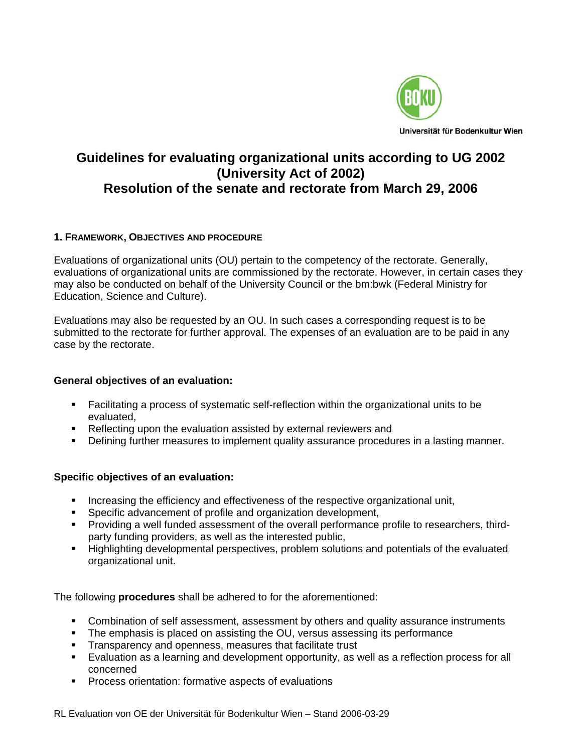

# **Guidelines for evaluating organizational units according to UG 2002 (University Act of 2002) Resolution of the senate and rectorate from March 29, 2006**

### **1. FRAMEWORK, OBJECTIVES AND PROCEDURE**

Evaluations of organizational units (OU) pertain to the competency of the rectorate. Generally, evaluations of organizational units are commissioned by the rectorate. However, in certain cases they may also be conducted on behalf of the University Council or the bm:bwk (Federal Ministry for Education, Science and Culture).

Evaluations may also be requested by an OU. In such cases a corresponding request is to be submitted to the rectorate for further approval. The expenses of an evaluation are to be paid in any case by the rectorate.

### **General objectives of an evaluation:**

- Facilitating a process of systematic self-reflection within the organizational units to be evaluated,
- **Reflecting upon the evaluation assisted by external reviewers and**
- Defining further measures to implement quality assurance procedures in a lasting manner.

### **Specific objectives of an evaluation:**

- **Increasing the efficiency and effectiveness of the respective organizational unit,**
- **Specific advancement of profile and organization development,**
- Providing a well funded assessment of the overall performance profile to researchers, thirdparty funding providers, as well as the interested public,
- **Highlighting developmental perspectives, problem solutions and potentials of the evaluated** organizational unit.

The following **procedures** shall be adhered to for the aforementioned:

- Combination of self assessment, assessment by others and quality assurance instruments
- The emphasis is placed on assisting the OU, versus assessing its performance
- **Transparency and openness, measures that facilitate trust**
- Evaluation as a learning and development opportunity, as well as a reflection process for all concerned
- **Process orientation: formative aspects of evaluations**

RL Evaluation von OE der Universität für Bodenkultur Wien – Stand 2006-03-29 1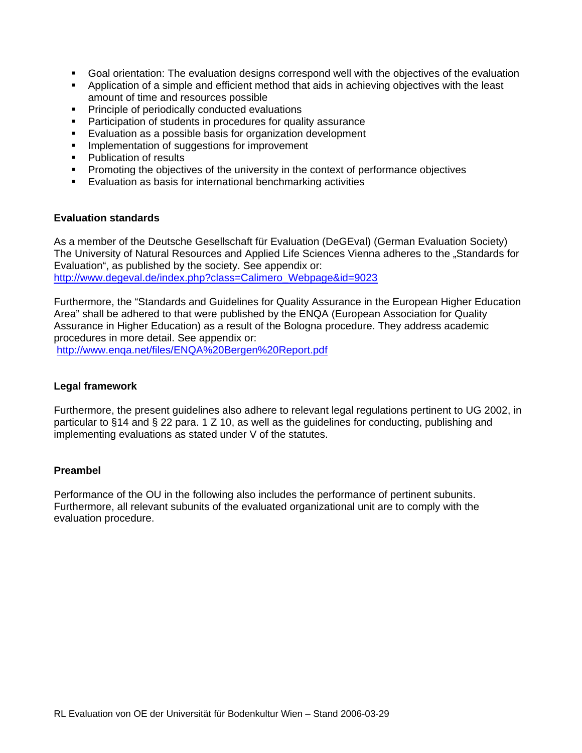- Goal orientation: The evaluation designs correspond well with the objectives of the evaluation
- Application of a simple and efficient method that aids in achieving objectives with the least amount of time and resources possible
- **Principle of periodically conducted evaluations**
- **•** Participation of students in procedures for quality assurance
- **Evaluation as a possible basis for organization development**
- **IMPLEMENTATION IN SUGGEST** Improvement
- Publication of results
- **Promoting the objectives of the university in the context of performance objectives**
- Evaluation as basis for international benchmarking activities

#### **Evaluation standards**

As a member of the Deutsche Gesellschaft für Evaluation (DeGEval) (German Evaluation Society) The University of Natural Resources and Applied Life Sciences Vienna adheres to the "Standards for Evaluation", as published by the society. See appendix or: [http://www.degeval.de/index.php?class=Calimero\\_Webpage&id=9023](http://www.degeval.de/index.php?class=Calimero_Webpage&id=9023)

Furthermore, the "Standards and Guidelines for Quality Assurance in the European Higher Education Area" shall be adhered to that were published by the ENQA (European Association for Quality Assurance in Higher Education) as a result of the Bologna procedure. They address academic procedures in more detail. See appendix or:

<http://www.enqa.net/files/ENQA%20Bergen%20Report.pdf>

#### **Legal framework**

Furthermore, the present guidelines also adhere to relevant legal regulations pertinent to UG 2002, in particular to §14 and § 22 para. 1 Z 10, as well as the guidelines for conducting, publishing and implementing evaluations as stated under V of the statutes.

#### **Preambel**

Performance of the OU in the following also includes the performance of pertinent subunits. Furthermore, all relevant subunits of the evaluated organizational unit are to comply with the evaluation procedure.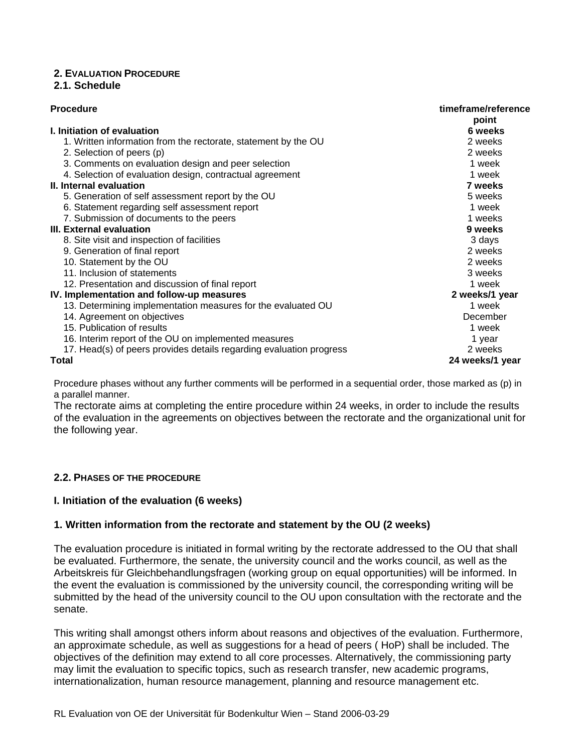# **2. EVALUATION PROCEDURE**

### **2.1. Schedule**

| <b>Procedure</b>                                                    | timeframe/reference<br>point |
|---------------------------------------------------------------------|------------------------------|
| I. Initiation of evaluation                                         | 6 weeks                      |
| 1. Written information from the rectorate, statement by the OU      | 2 weeks                      |
| 2. Selection of peers (p)                                           | 2 weeks                      |
| 3. Comments on evaluation design and peer selection                 | 1 week                       |
| 4. Selection of evaluation design, contractual agreement            | 1 week                       |
| II. Internal evaluation                                             | 7 weeks                      |
| 5. Generation of self assessment report by the OU                   | 5 weeks                      |
| 6. Statement regarding self assessment report                       | 1 week                       |
| 7. Submission of documents to the peers                             | 1 weeks                      |
| III. External evaluation                                            | 9 weeks                      |
| 8. Site visit and inspection of facilities                          | 3 days                       |
| 9. Generation of final report                                       | 2 weeks                      |
| 10. Statement by the OU                                             | 2 weeks                      |
| 11. Inclusion of statements                                         | 3 weeks                      |
| 12. Presentation and discussion of final report                     | 1 week                       |
| IV. Implementation and follow-up measures                           | 2 weeks/1 year               |
| 13. Determining implementation measures for the evaluated OU        | 1 week                       |
| 14. Agreement on objectives                                         | December                     |
| 15. Publication of results                                          | 1 week                       |
| 16. Interim report of the OU on implemented measures                | 1 year                       |
| 17. Head(s) of peers provides details regarding evaluation progress | 2 weeks                      |
| <b>Total</b>                                                        | 24 weeks/1 year              |

Procedure phases without any further comments will be performed in a sequential order, those marked as (p) in a parallel manner.

The rectorate aims at completing the entire procedure within 24 weeks, in order to include the results of the evaluation in the agreements on objectives between the rectorate and the organizational unit for the following year.

### **2.2. PHASES OF THE PROCEDURE**

### **I. Initiation of the evaluation (6 weeks)**

### **1. Written information from the rectorate and statement by the OU (2 weeks)**

The evaluation procedure is initiated in formal writing by the rectorate addressed to the OU that shall be evaluated. Furthermore, the senate, the university council and the works council, as well as the Arbeitskreis für Gleichbehandlungsfragen (working group on equal opportunities) will be informed. In the event the evaluation is commissioned by the university council, the corresponding writing will be submitted by the head of the university council to the OU upon consultation with the rectorate and the senate.

This writing shall amongst others inform about reasons and objectives of the evaluation. Furthermore, an approximate schedule, as well as suggestions for a head of peers ( HoP) shall be included. The objectives of the definition may extend to all core processes. Alternatively, the commissioning party may limit the evaluation to specific topics, such as research transfer, new academic programs, internationalization, human resource management, planning and resource management etc.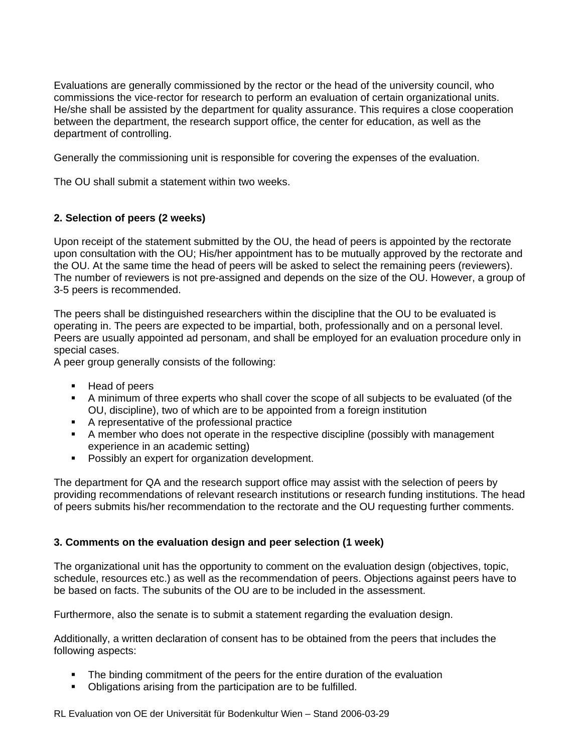Evaluations are generally commissioned by the rector or the head of the university council, who commissions the vice-rector for research to perform an evaluation of certain organizational units. He/she shall be assisted by the department for quality assurance. This requires a close cooperation between the department, the research support office, the center for education, as well as the department of controlling.

Generally the commissioning unit is responsible for covering the expenses of the evaluation.

The OU shall submit a statement within two weeks.

### **2. Selection of peers (2 weeks)**

Upon receipt of the statement submitted by the OU, the head of peers is appointed by the rectorate upon consultation with the OU; His/her appointment has to be mutually approved by the rectorate and the OU. At the same time the head of peers will be asked to select the remaining peers (reviewers). The number of reviewers is not pre-assigned and depends on the size of the OU. However, a group of 3-5 peers is recommended.

The peers shall be distinguished researchers within the discipline that the OU to be evaluated is operating in. The peers are expected to be impartial, both, professionally and on a personal level. Peers are usually appointed ad personam, and shall be employed for an evaluation procedure only in special cases.

A peer group generally consists of the following:

- Head of peers
- A minimum of three experts who shall cover the scope of all subjects to be evaluated (of the OU, discipline), two of which are to be appointed from a foreign institution
- A representative of the professional practice
- A member who does not operate in the respective discipline (possibly with management experience in an academic setting)
- **Possibly an expert for organization development.**

The department for QA and the research support office may assist with the selection of peers by providing recommendations of relevant research institutions or research funding institutions. The head of peers submits his/her recommendation to the rectorate and the OU requesting further comments.

#### **3. Comments on the evaluation design and peer selection (1 week)**

The organizational unit has the opportunity to comment on the evaluation design (objectives, topic, schedule, resources etc.) as well as the recommendation of peers. Objections against peers have to be based on facts. The subunits of the OU are to be included in the assessment.

Furthermore, also the senate is to submit a statement regarding the evaluation design.

Additionally, a written declaration of consent has to be obtained from the peers that includes the following aspects:

- The binding commitment of the peers for the entire duration of the evaluation
- Obligations arising from the participation are to be fulfilled.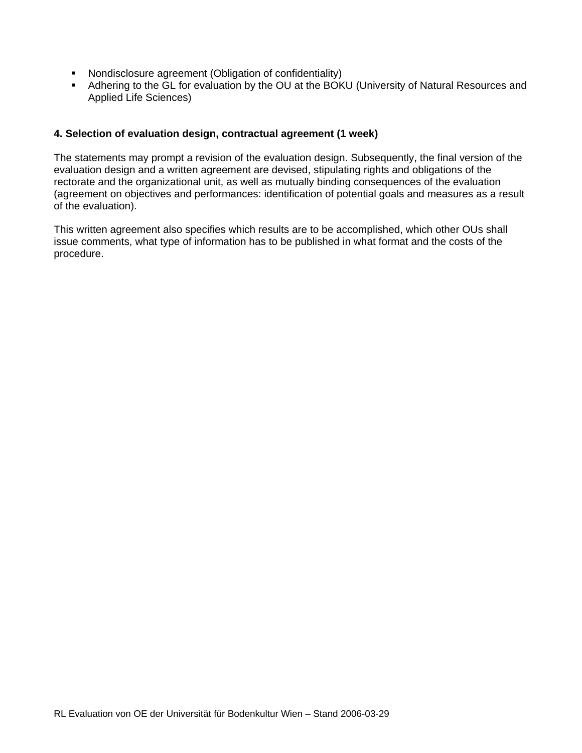- Nondisclosure agreement (Obligation of confidentiality)
- Adhering to the GL for evaluation by the OU at the BOKU (University of Natural Resources and Applied Life Sciences)

#### **4. Selection of evaluation design, contractual agreement (1 week)**

The statements may prompt a revision of the evaluation design. Subsequently, the final version of the evaluation design and a written agreement are devised, stipulating rights and obligations of the rectorate and the organizational unit, as well as mutually binding consequences of the evaluation (agreement on objectives and performances: identification of potential goals and measures as a result of the evaluation).

This written agreement also specifies which results are to be accomplished, which other OUs shall issue comments, what type of information has to be published in what format and the costs of the procedure.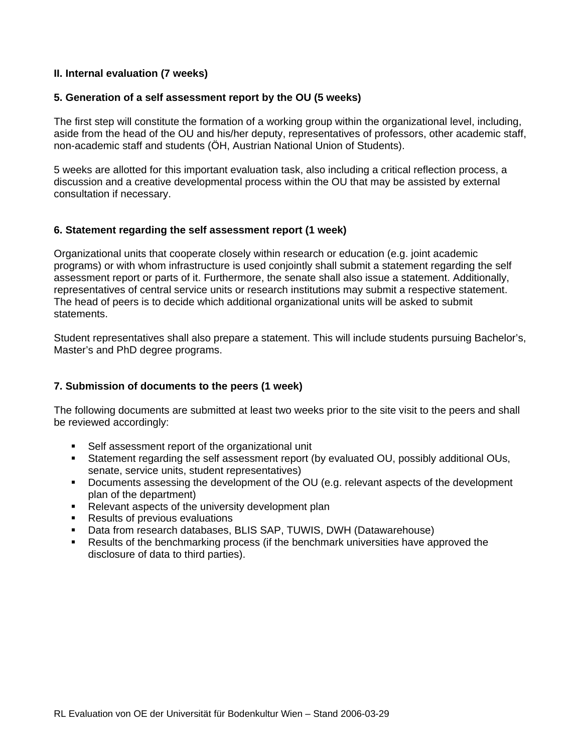### **II. Internal evaluation (7 weeks)**

#### **5. Generation of a self assessment report by the OU (5 weeks)**

The first step will constitute the formation of a working group within the organizational level, including, aside from the head of the OU and his/her deputy, representatives of professors, other academic staff, non-academic staff and students (ÖH, Austrian National Union of Students).

5 weeks are allotted for this important evaluation task, also including a critical reflection process, a discussion and a creative developmental process within the OU that may be assisted by external consultation if necessary.

#### **6. Statement regarding the self assessment report (1 week)**

Organizational units that cooperate closely within research or education (e.g. joint academic programs) or with whom infrastructure is used conjointly shall submit a statement regarding the self assessment report or parts of it. Furthermore, the senate shall also issue a statement. Additionally, representatives of central service units or research institutions may submit a respective statement. The head of peers is to decide which additional organizational units will be asked to submit statements.

Student representatives shall also prepare a statement. This will include students pursuing Bachelor's, Master's and PhD degree programs.

### **7. Submission of documents to the peers (1 week)**

The following documents are submitted at least two weeks prior to the site visit to the peers and shall be reviewed accordingly:

- Self assessment report of the organizational unit
- Statement regarding the self assessment report (by evaluated OU, possibly additional OUs, senate, service units, student representatives)
- Documents assessing the development of the OU (e.g. relevant aspects of the development plan of the department)
- Relevant aspects of the university development plan
- **Results of previous evaluations**
- Data from research databases, BLIS SAP, TUWIS, DWH (Datawarehouse)
- Results of the benchmarking process (if the benchmark universities have approved the disclosure of data to third parties).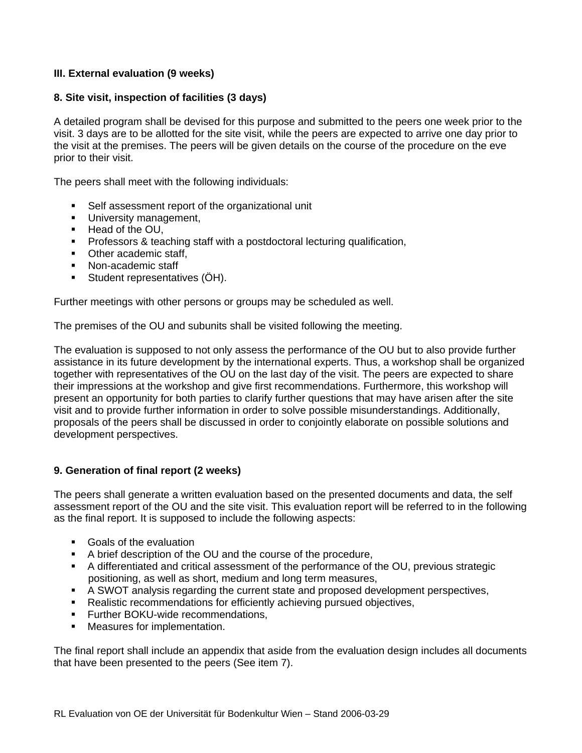# **III. External evaluation (9 weeks)**

### **8. Site visit, inspection of facilities (3 days)**

A detailed program shall be devised for this purpose and submitted to the peers one week prior to the visit. 3 days are to be allotted for the site visit, while the peers are expected to arrive one day prior to the visit at the premises. The peers will be given details on the course of the procedure on the eve prior to their visit.

The peers shall meet with the following individuals:

- Self assessment report of the organizational unit
- **University management,**
- Head of the OU,
- **Professors & teaching staff with a postdoctoral lecturing qualification,**
- Other academic staff,
- Non-academic staff
- Student representatives (ÖH).

Further meetings with other persons or groups may be scheduled as well.

The premises of the OU and subunits shall be visited following the meeting.

The evaluation is supposed to not only assess the performance of the OU but to also provide further assistance in its future development by the international experts. Thus, a workshop shall be organized together with representatives of the OU on the last day of the visit. The peers are expected to share their impressions at the workshop and give first recommendations. Furthermore, this workshop will present an opportunity for both parties to clarify further questions that may have arisen after the site visit and to provide further information in order to solve possible misunderstandings. Additionally, proposals of the peers shall be discussed in order to conjointly elaborate on possible solutions and development perspectives.

### **9. Generation of final report (2 weeks)**

The peers shall generate a written evaluation based on the presented documents and data, the self assessment report of the OU and the site visit. This evaluation report will be referred to in the following as the final report. It is supposed to include the following aspects:

- Goals of the evaluation
- A brief description of the OU and the course of the procedure,
- A differentiated and critical assessment of the performance of the OU, previous strategic positioning, as well as short, medium and long term measures,
- A SWOT analysis regarding the current state and proposed development perspectives,
- Realistic recommendations for efficiently achieving pursued objectives,
- **Further BOKU-wide recommendations.**
- **•** Measures for implementation.

The final report shall include an appendix that aside from the evaluation design includes all documents that have been presented to the peers (See item 7).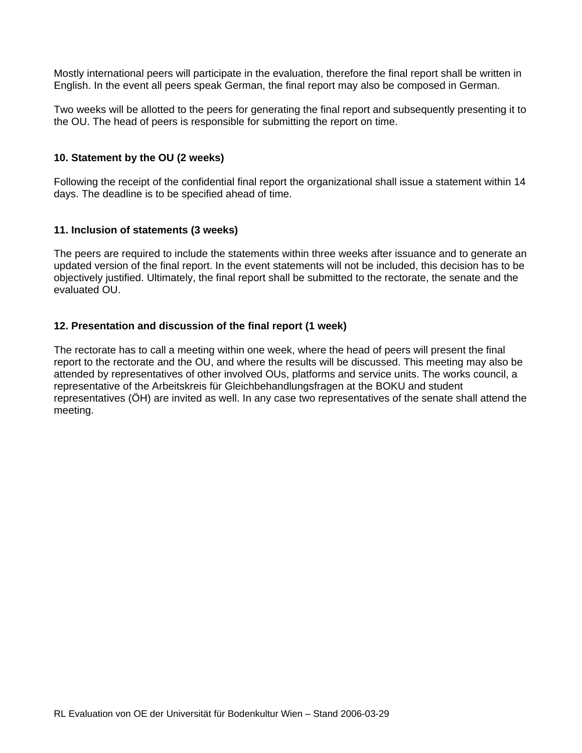Mostly international peers will participate in the evaluation, therefore the final report shall be written in English. In the event all peers speak German, the final report may also be composed in German.

Two weeks will be allotted to the peers for generating the final report and subsequently presenting it to the OU. The head of peers is responsible for submitting the report on time.

#### **10. Statement by the OU (2 weeks)**

Following the receipt of the confidential final report the organizational shall issue a statement within 14 days. The deadline is to be specified ahead of time.

#### **11. Inclusion of statements (3 weeks)**

The peers are required to include the statements within three weeks after issuance and to generate an updated version of the final report. In the event statements will not be included, this decision has to be objectively justified. Ultimately, the final report shall be submitted to the rectorate, the senate and the evaluated OU.

### **12. Presentation and discussion of the final report (1 week)**

The rectorate has to call a meeting within one week, where the head of peers will present the final report to the rectorate and the OU, and where the results will be discussed. This meeting may also be attended by representatives of other involved OUs, platforms and service units. The works council, a representative of the Arbeitskreis für Gleichbehandlungsfragen at the BOKU and student representatives (ÖH) are invited as well. In any case two representatives of the senate shall attend the meeting.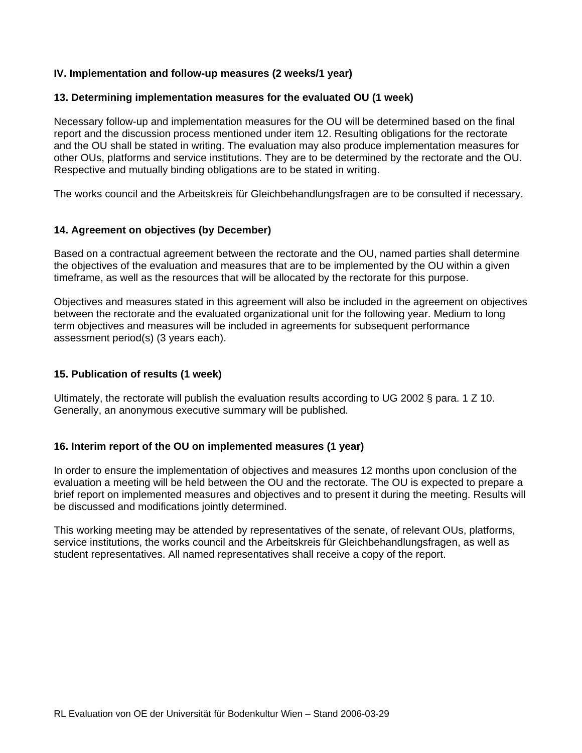### **IV. Implementation and follow-up measures (2 weeks/1 year)**

#### **13. Determining implementation measures for the evaluated OU (1 week)**

Necessary follow-up and implementation measures for the OU will be determined based on the final report and the discussion process mentioned under item 12. Resulting obligations for the rectorate and the OU shall be stated in writing. The evaluation may also produce implementation measures for other OUs, platforms and service institutions. They are to be determined by the rectorate and the OU. Respective and mutually binding obligations are to be stated in writing.

The works council and the Arbeitskreis für Gleichbehandlungsfragen are to be consulted if necessary.

#### **14. Agreement on objectives (by December)**

Based on a contractual agreement between the rectorate and the OU, named parties shall determine the objectives of the evaluation and measures that are to be implemented by the OU within a given timeframe, as well as the resources that will be allocated by the rectorate for this purpose.

Objectives and measures stated in this agreement will also be included in the agreement on objectives between the rectorate and the evaluated organizational unit for the following year. Medium to long term objectives and measures will be included in agreements for subsequent performance assessment period(s) (3 years each).

#### **15. Publication of results (1 week)**

Ultimately, the rectorate will publish the evaluation results according to UG 2002 § para. 1 Z 10. Generally, an anonymous executive summary will be published.

#### **16. Interim report of the OU on implemented measures (1 year)**

In order to ensure the implementation of objectives and measures 12 months upon conclusion of the evaluation a meeting will be held between the OU and the rectorate. The OU is expected to prepare a brief report on implemented measures and objectives and to present it during the meeting. Results will be discussed and modifications jointly determined.

This working meeting may be attended by representatives of the senate, of relevant OUs, platforms, service institutions, the works council and the Arbeitskreis für Gleichbehandlungsfragen, as well as student representatives. All named representatives shall receive a copy of the report.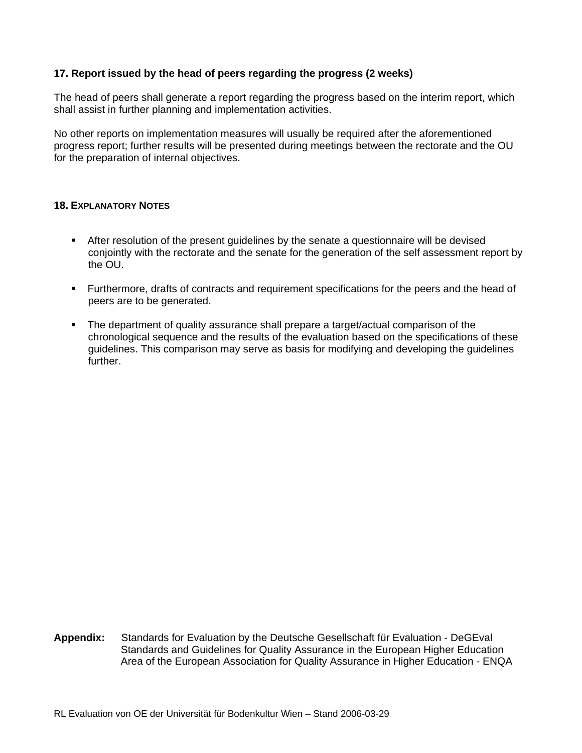# **17. Report issued by the head of peers regarding the progress (2 weeks)**

The head of peers shall generate a report regarding the progress based on the interim report, which shall assist in further planning and implementation activities.

No other reports on implementation measures will usually be required after the aforementioned progress report; further results will be presented during meetings between the rectorate and the OU for the preparation of internal objectives.

#### **18. EXPLANATORY NOTES**

- After resolution of the present guidelines by the senate a questionnaire will be devised conjointly with the rectorate and the senate for the generation of the self assessment report by the OU.
- Furthermore, drafts of contracts and requirement specifications for the peers and the head of peers are to be generated.
- The department of quality assurance shall prepare a target/actual comparison of the chronological sequence and the results of the evaluation based on the specifications of these guidelines. This comparison may serve as basis for modifying and developing the guidelines further.

**Appendix:** Standards for Evaluation by the Deutsche Gesellschaft für Evaluation - DeGEval Standards and Guidelines for Quality Assurance in the European Higher Education Area of the European Association for Quality Assurance in Higher Education - ENQA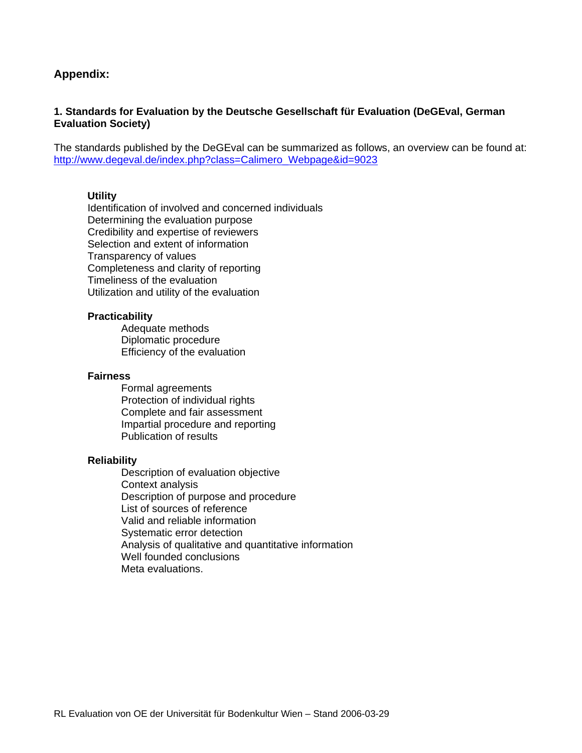# **Appendix:**

### **1. Standards for Evaluation by the Deutsche Gesellschaft für Evaluation (DeGEval, German Evaluation Society)**

The standards published by the DeGEval can be summarized as follows, an overview can be found at: [http://www.degeval.de/index.php?class=Calimero\\_Webpage&id=9023](http://www.degeval.de/index.php?class=Calimero_Webpage&id=9023)

#### **Utility**

Identification of involved and concerned individuals Determining the evaluation purpose Credibility and expertise of reviewers Selection and extent of information Transparency of values Completeness and clarity of reporting Timeliness of the evaluation Utilization and utility of the evaluation

#### **Practicability**

 Adequate methods Diplomatic procedure Efficiency of the evaluation

#### **Fairness**

 Formal agreements Protection of individual rights Complete and fair assessment Impartial procedure and reporting Publication of results

#### **Reliability**

 Description of evaluation objective Context analysis Description of purpose and procedure List of sources of reference Valid and reliable information Systematic error detection Analysis of qualitative and quantitative information Well founded conclusions Meta evaluations.